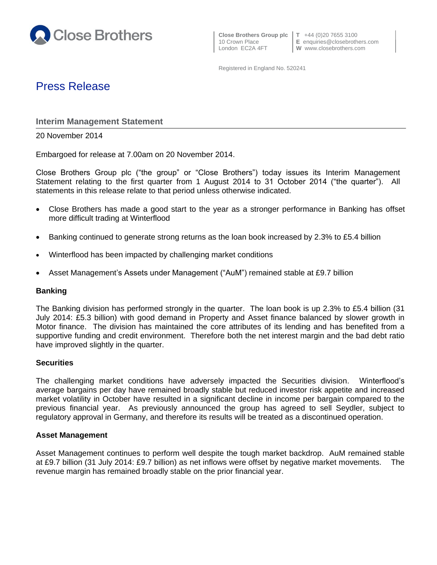

10 Crown Place **E** enquiries@closebrothers.com

Registered in England No. 520241

# Press Release

**Interim Management Statement**

20 November 2014

Embargoed for release at 7.00am on 20 November 2014.

Close Brothers Group plc ("the group" or "Close Brothers") today issues its Interim Management Statement relating to the first quarter from 1 August 2014 to 31 October 2014 ("the quarter"). All statements in this release relate to that period unless otherwise indicated.

- Close Brothers has made a good start to the year as a stronger performance in Banking has offset more difficult trading at Winterflood
- Banking continued to generate strong returns as the loan book increased by 2.3% to £5.4 billion
- Winterflood has been impacted by challenging market conditions
- Asset Management's Assets under Management ("AuM") remained stable at £9.7 billion

# **Banking**

The Banking division has performed strongly in the quarter. The loan book is up 2.3% to £5.4 billion (31 July 2014: £5.3 billion) with good demand in Property and Asset finance balanced by slower growth in Motor finance. The division has maintained the core attributes of its lending and has benefited from a supportive funding and credit environment. Therefore both the net interest margin and the bad debt ratio have improved slightly in the quarter.

# **Securities**

The challenging market conditions have adversely impacted the Securities division. Winterflood's average bargains per day have remained broadly stable but reduced investor risk appetite and increased market volatility in October have resulted in a significant decline in income per bargain compared to the previous financial year. As previously announced the group has agreed to sell Seydler, subject to regulatory approval in Germany, and therefore its results will be treated as a discontinued operation.

# **Asset Management**

Asset Management continues to perform well despite the tough market backdrop. AuM remained stable at £9.7 billion (31 July 2014: £9.7 billion) as net inflows were offset by negative market movements. The revenue margin has remained broadly stable on the prior financial year.